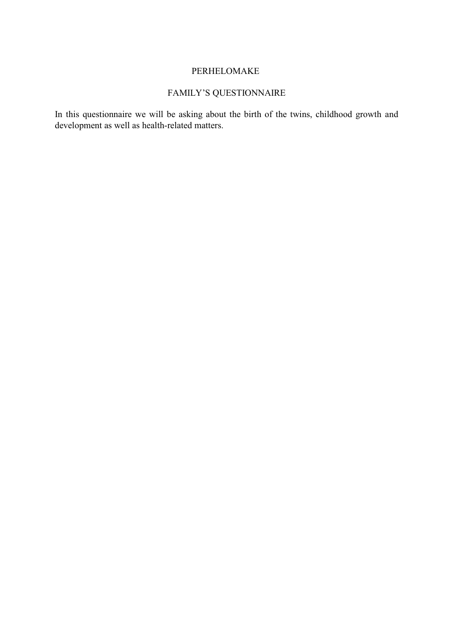# PERHELOMAKE

# FAMILY'S QUESTIONNAIRE

In this questionnaire we will be asking about the birth of the twins, childhood growth and development as well as health-related matters.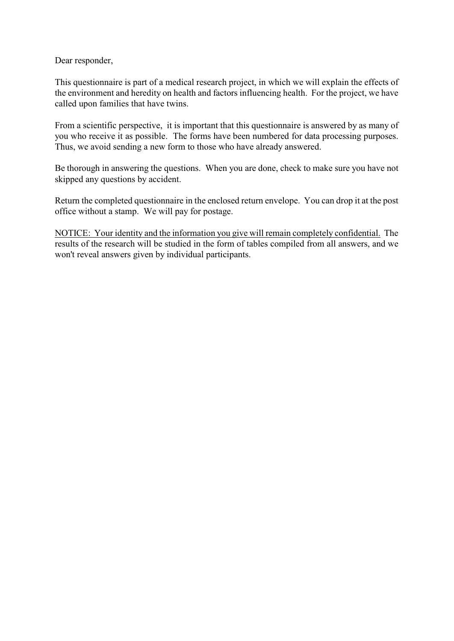Dear responder,

This questionnaire is part of a medical research project, in which we will explain the effects of the environment and heredity on health and factors influencing health. For the project, we have called upon families that have twins.

From a scientific perspective, it is important that this questionnaire is answered by as many of you who receive it as possible. The forms have been numbered for data processing purposes. Thus, we avoid sending a new form to those who have already answered.

Be thorough in answering the questions. When you are done, check to make sure you have not skipped any questions by accident.

Return the completed questionnaire in the enclosed return envelope. You can drop it at the post office without a stamp. We will pay for postage.

NOTICE: Your identity and the information you give will remain completely confidential. The results of the research will be studied in the form of tables compiled from all answers, and we won't reveal answers given by individual participants.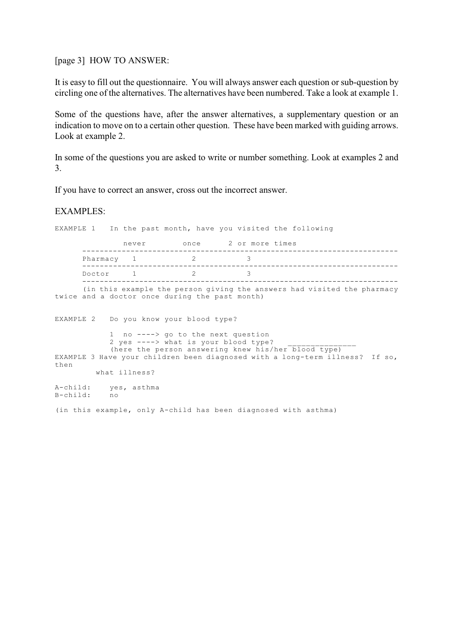[page 3] HOW TO ANSWER:

It is easy to fill out the questionnaire. You will always answer each question or sub-question by circling one of the alternatives. The alternatives have been numbered. Take a look at example 1.

Some of the questions have, after the answer alternatives, a supplementary question or an indication to move on to a certain other question. These have been marked with guiding arrows. Look at example 2.

In some of the questions you are asked to write or number something. Look at examples 2 and 3.

If you have to correct an answer, cross out the incorrect answer.

## EXAMPLES:

EXAMPLE 1 In the past month, have you visited the following never once 2 or more times ------------------------------------------------------------------------ Pharmacy 1 2 3 ------------------------------------------------------------------------ Doctor 1 2 ------------------------------------------------------------------------ (in this example the person giving the answers had visited the pharmacy twice and a doctor once during the past month) EXAMPLE 2 Do you know your blood type? 1 no ----> go to the next question 2 yes  $--->$  what is your blood type? (here the person answering knew his/her blood type) EXAMPLE 3 Have your children been diagnosed with a long-term illness? If so, then what illness? A-child: yes, asthma B-child: no (in this example, only A-child has been diagnosed with asthma)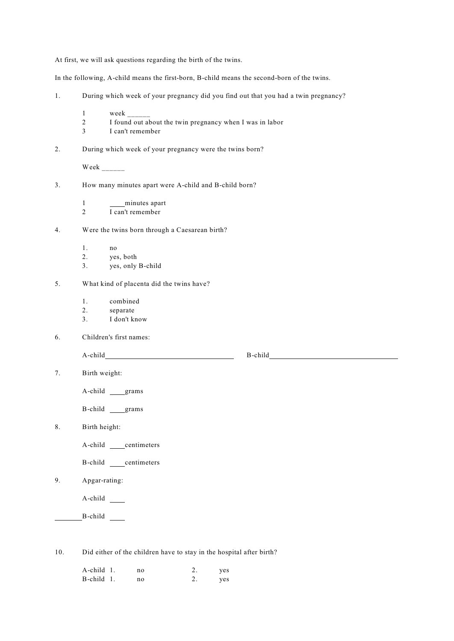At first, we will ask questions regarding the birth of the twins.

In the following, A-child means the first-born, B-child means the second-born of the twins.

- 1. During which week of your pregnancy did you find out that you had a twin pregnancy?
	- 1 week \_\_\_\_\_\_
	- 2 I found out about the twin pregnancy when I was in labor 3 I can't remember
	- I can't remember
- 2. During which week of your pregnancy were the twins born?

Week  $\frac{1}{\sqrt{1-\frac{1}{2}}\cdot\frac{1}{\sqrt{1-\frac{1}{2}}}}$ 

- 3. How many minutes apart were A-child and B-child born?
	- 1 minutes apart
	- 2 I can't remember
- 4. Were the twins born through a Caesarean birth?
	- 1. no
	- 2. yes, both
	- 3. yes, only B-child
- 5. What kind of placenta did the twins have?
	- 1. combined
	- 2. separate
	- 3. I don't know
- 6. Children's first names:

A-child B-child

7. Birth weight:

A-child grams

B-child grams

8. Birth height:

A-child centimeters

B-child centimeters

9. Apgar-rating:

A-child

B-child

10. Did either of the children have to stay in the hospital after birth?

| A-child 1. | no. | yes |
|------------|-----|-----|
| B-child 1. | no  | yes |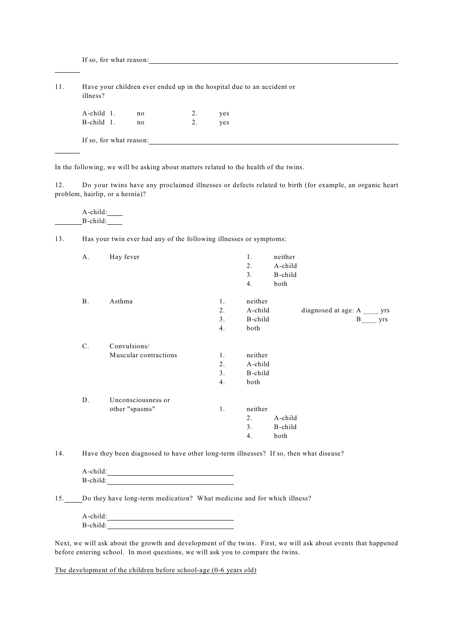If so, for what reason:

l

| 11. | Have your children ever ended up in the hospital due to an accident or<br>illness? |    |  |     |  |  |
|-----|------------------------------------------------------------------------------------|----|--|-----|--|--|
|     | A-child 1.                                                                         | no |  | yes |  |  |

| B-child 1.              | no | ves |
|-------------------------|----|-----|
| If so, for what reason: |    |     |

In the following, we will be asking about matters related to the health of the twins.

12. Do your twins have any proclaimed illnesses or defects related to birth (for example, an organic heart problem, hairlip, or a hernia)?

A-child:  $B$ -child:

13. Has your twin ever had any of the following illnesses or symptoms:

| A.    | Hay fever                             |                      | 1.<br>2.<br>3.<br>4.                  | neither<br>A-child<br>B-child<br>both |                                            |
|-------|---------------------------------------|----------------------|---------------------------------------|---------------------------------------|--------------------------------------------|
| Β.    | Asthma                                | 1.<br>2.<br>3.<br>4. | neither<br>A-child<br>B-child<br>both |                                       | diagnosed at age: $A$ ____ yrs<br>B<br>yrs |
| $C$ . | Convulsions/<br>Muscular contractions | 1.<br>2.<br>3.<br>4. | neither<br>A-child<br>B-child<br>both |                                       |                                            |
| D.    | Unconsciousness or<br>other "spasms"  | 1.                   | neither<br>2.<br>3 <sub>1</sub><br>4. | A-child<br>B-child<br>both            |                                            |

14. Have they been diagnosed to have other long-term illnesses? If so, then what disease?

| A-child: |  |
|----------|--|
| B-child: |  |

15. Do they have long-term medication? What medicine and for which illness?

| A-child: |  |
|----------|--|
| B-child: |  |

Next, we will ask about the growth and development of the twins. First, we will ask about events that happened before entering school. In most questions, we will ask you to compare the twins.

The development of the children before school-age (0-6 years old)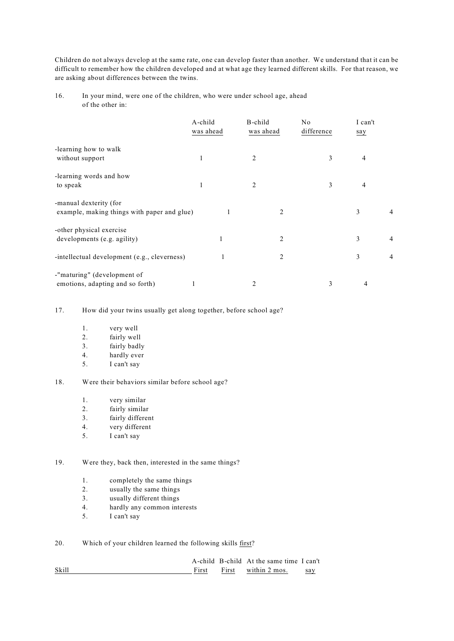Children do not always develop at the same rate, one can develop faster than another. We understand that it can be difficult to remember how the children developed and at what age they learned different skills. For that reason, we are asking about differences between the twins.

16. In your mind, were one of the children, who were under school age, ahead of the other in:

|                                              | A-child<br>was ahead | B-child<br>was ahead | No<br>difference | I can't<br>say |                |
|----------------------------------------------|----------------------|----------------------|------------------|----------------|----------------|
| -learning how to walk                        |                      |                      |                  |                |                |
| without support                              | 1                    | 2                    | 3                | 4              |                |
| -learning words and how                      |                      |                      |                  |                |                |
| to speak                                     | 1                    | 2                    | 3                | 4              |                |
| -manual dexterity (for                       |                      |                      |                  |                |                |
| example, making things with paper and glue)  | 1                    | 2                    |                  | 3              | 4              |
| -other physical exercise                     |                      |                      |                  |                |                |
| developments (e.g. agility)                  |                      | 2                    |                  | 3              | 4              |
| -intellectual development (e.g., cleverness) |                      | 2                    |                  | 3              | $\overline{4}$ |
| -"maturing" (development of                  |                      |                      |                  |                |                |
| emotions, adapting and so forth)             |                      | 2                    | 3                | 4              |                |

17. How did your twins usually get along together, before school age?

- 1. very well
- 2. fairly well
- 3. fairly badly
- 4. hardly ever<br>5. I can't say
- 5. I can't say

### 18. Were their behaviors similar before school age?

- 1. very similar
- 2. fairly similar
- 3. fairly different
- 4. very different
- 5. I can't say

19. Were they, back then, interested in the same things?

- 1. completely the same things
- 2. usually the same things
- 3. usually different things
- 4. hardly any common interests
- 5. I can't say

20. Which of your children learned the following skills first?

| Skill | First | A-child B-child At the same time I can't<br>First within 2 mos. | say |
|-------|-------|-----------------------------------------------------------------|-----|
|       |       |                                                                 |     |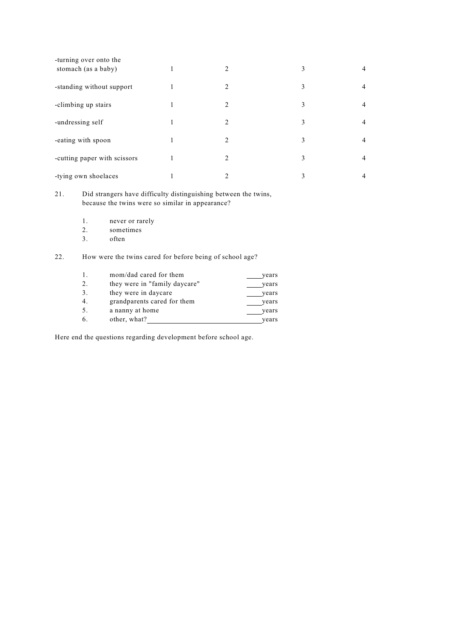| -turning over onto the<br>stomach (as a baby) | $\overline{c}$ | 3 |  |
|-----------------------------------------------|----------------|---|--|
| -standing without support                     | 2              | 3 |  |
| -climbing up stairs                           | $\mathfrak{D}$ | 3 |  |
| -undressing self                              | 2              | 3 |  |
| -eating with spoon                            | $\mathfrak{D}$ | 3 |  |
| -cutting paper with scissors                  | 2              | 3 |  |
| -tying own shoelaces                          | ↑              | 3 |  |

21. Did strangers have difficulty distinguishing between the twins, because the twins were so similar in appearance?

- 1. never or rarely<br>2. sometimes
- 2. sometimes<br>3. often
- often

22. How were the twins cared for before being of school age?

| 1. | mom/dad cared for them        | years |
|----|-------------------------------|-------|
| 2. | they were in "family daycare" | years |
| 3. | they were in daycare          | years |
| 4. | grandparents cared for them   | vears |
| 5. | a nanny at home               | years |
| 6. | other, what?                  | vears |

Here end the questions regarding development before school age.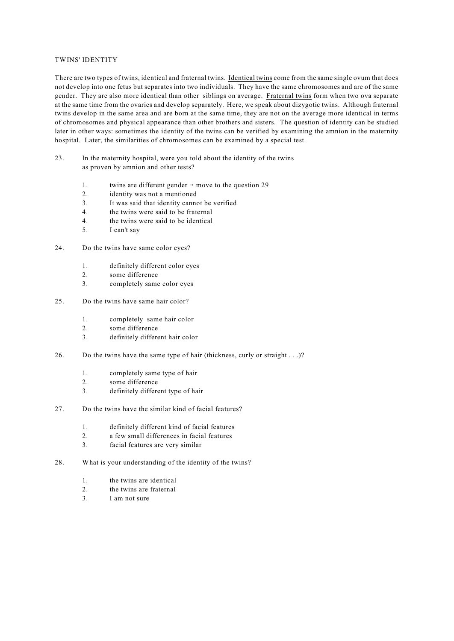### TWINS' IDENTITY

There are two types of twins, identical and fraternal twins. Identical twins come from the same single ovum that does not develop into one fetus but separates into two individuals. They have the same chromosomes and are of the same gender. They are also more identical than other siblings on average. Fraternal twins form when two ova separate at the same time from the ovaries and develop separately. Here, we speak about dizygotic twins. Although fraternal twins develop in the same area and are born at the same time, they are not on the average more identical in terms of chromosomes and physical appearance than other brothers and sisters. The question of identity can be studied later in other ways: sometimes the identity of the twins can be verified by examining the amnion in the maternity hospital. Later, the similarities of chromosomes can be examined by a special test.

- 23. In the maternity hospital, were you told about the identity of the twins as proven by amnion and other tests?
	- 1. twins are different gender  $\rightarrow$  move to the question 29
	- 2. identity was not a mentioned
	- 3. It was said that identity cannot be verified
	- 4. the twins were said to be fraternal
	- 4. the twins were said to be identical
	- 5. I can't say
- 24. Do the twins have same color eyes?
	- 1. definitely different color eyes
	- 2. some difference
	- 3. completely same color eyes
- 25. Do the twins have same hair color?
	- 1. completely same hair color
	- 2. some difference
	- 3. definitely different hair color
- 26. Do the twins have the same type of hair (thickness, curly or straight . . .)?
	- 1. completely same type of hair
	- 2. some difference
	- 3. definitely different type of hair
- 27. Do the twins have the similar kind of facial features?
	- 1. definitely different kind of facial features
	- 2. a few small differences in facial features
	- 3. facial features are very similar
- 28. What is your understanding of the identity of the twins?
	- 1. the twins are identical
	- 2. the twins are fraternal
	- 3. I am not sure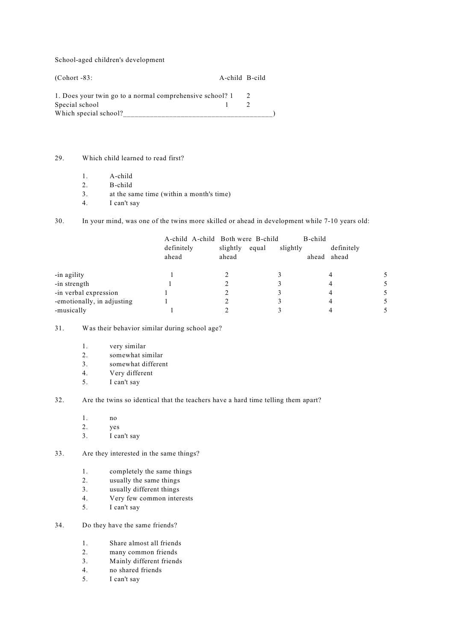School-aged children's development

(Cohort -83: A-child B-cild 1. Does your twin go to a normal comprehensive school? 1 2 Special school 1 2 Which special school?

29. Which child learned to read first?

- 1. A-child
- 2. B-child
- 3. at the same time (within a month's time)
- 4. I can't say

30. In your mind, was one of the twins more skilled or ahead in development while 7-10 years old:

|                            | A-child A-child Both were B-child<br>definitely<br>ahead | slightly<br>ahead | equal | B-child<br>slightly | definitely<br>ahead ahead |  |
|----------------------------|----------------------------------------------------------|-------------------|-------|---------------------|---------------------------|--|
| -in agility                |                                                          |                   |       |                     |                           |  |
| -in strength               |                                                          |                   |       |                     |                           |  |
| -in verbal expression      |                                                          |                   |       |                     |                           |  |
| -emotionally, in adjusting |                                                          |                   |       |                     |                           |  |
| -musically                 |                                                          |                   |       |                     |                           |  |

31. Was their behavior similar during school age?

- 1. very similar
- 2. somewhat similar
- 3. somewhat different
- 4. Very different
- 5. I can't say

32. Are the twins so identical that the teachers have a hard time telling them apart?

- 1. no
- 2. yes
- 3. I can't say

33. Are they interested in the same things?

- 1. completely the same things
- 2. usually the same things
- 3. usually different things
- 4. Very few common interests
- 5. I can't say

## 34. Do they have the same friends?

- 1. Share almost all friends
- 2. many common friends
- 3. Mainly different friends
- 4. no shared friends
- 5. I can't say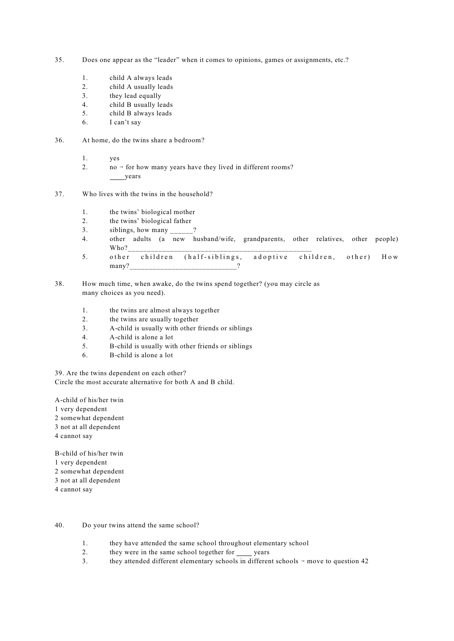- 35. Does one appear as the "leader" when it comes to opinions, games or assignments, etc.?
	- 1. child A always leads
	- 2. child A usually leads
	- 3. they lead equally
	- 4. child B usually leads
	- 5. child B always leads
	- 6. I can't say
- 36. At home, do the twins share a bedroom?
	- 1. yes
	- 2.  $\log_2$  no  $\rightarrow$  for how many years have they lived in different rooms? years
- 37. Who lives with the twins in the household?
	- 1. the twins' biological mother
	- 2. the twins' biological father
	- 3. siblings, how many ?
	- 4. other adults (a new husband/wife, grandparents, other relatives, other people) Who?\_\_\_\_\_\_\_\_\_\_\_\_\_\_\_\_\_\_\_\_\_\_\_\_\_\_\_\_\_\_\_\_\_\_\_\_\_\_\_\_\_\_\_\_\_\_\_\_
	- 5. other children (half-siblings, adoptive children, other) How many? 2
- 38. How much time, when awake, do the twins spend together? (you may circle as many choices as you need).
	- 1. the twins are almost always together
	- 2. the twins are usually together
	- 3. A-child is usually with other friends or siblings
	- 4. A-child is alone a lot
	- 5. B-child is usually with other friends or siblings
	- 6. B-child is alone a lot

39. Are the twins dependent on each other? Circle the most accurate alternative for both A and B child.

A-child of his/her twin

- 1 very dependent
- 2 somewhat dependent
- 3 not at all dependent
- 4 cannot say

B-child of his/her twin

- 1 very dependent
- 2 somewhat dependent
- 3 not at all dependent
- 4 cannot say

40. Do your twins attend the same school?

- 1. they have attended the same school throughout elementary school
- 2. they were in the same school together for years
- 3. they attended different elementary schools in different schools  $\rightarrow$  move to question 42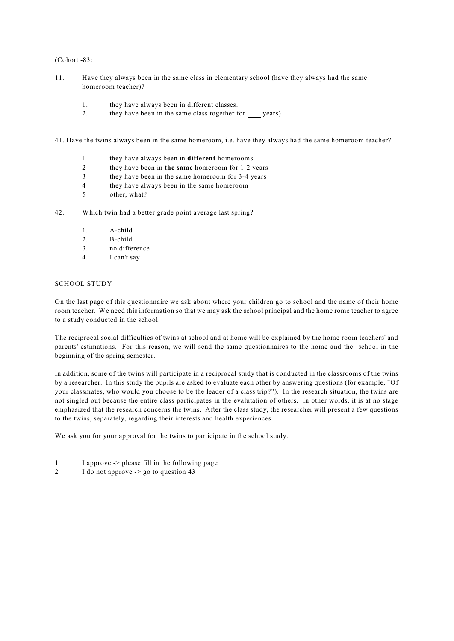(Cohort -83:

- 11. Have they always been in the same class in elementary school (have they always had the same homeroom teacher)?
	- 1. they have always been in different classes.
	- 2. they have been in the same class together for years)

41. Have the twins always been in the same homeroom, i.e. have they always had the same homeroom teacher?

- 1 they have always been in **different** homerooms
- 2 they have been in **the same** homeroom for 1-2 years
- 3 they have been in the same homeroom for 3-4 years
- 4 they have always been in the same homeroom
- 5 other, what?

42. Which twin had a better grade point average last spring?

- 1. A-child
- 2. B-child
- 3. no difference
- 4. I can't say

#### SCHOOL STUDY

On the last page of this questionnaire we ask about where your children go to school and the name of their home room teacher. We need this information so that we may ask the school principal and the home rome teacher to agree to a study conducted in the school.

The reciprocal social difficulties of twins at school and at home will be explained by the home room teachers' and parents' estimations. For this reason, we will send the same questionnaires to the home and the school in the beginning of the spring semester.

In addition, some of the twins will participate in a reciprocal study that is conducted in the classrooms of the twins by a researcher. In this study the pupils are asked to evaluate each other by answering questions (for example, "Of your classmates, who would you choose to be the leader of a class trip?"). In the research situation, the twins are not singled out because the entire class participates in the evalutation of others. In other words, it is at no stage emphasized that the research concerns the twins. After the class study, the researcher will present a few questions to the twins, separately, regarding their interests and health experiences.

We ask you for your approval for the twins to participate in the school study.

- 1 I approve -> please fill in the following page
- 2 I do not approve  $\ge$  go to question 43